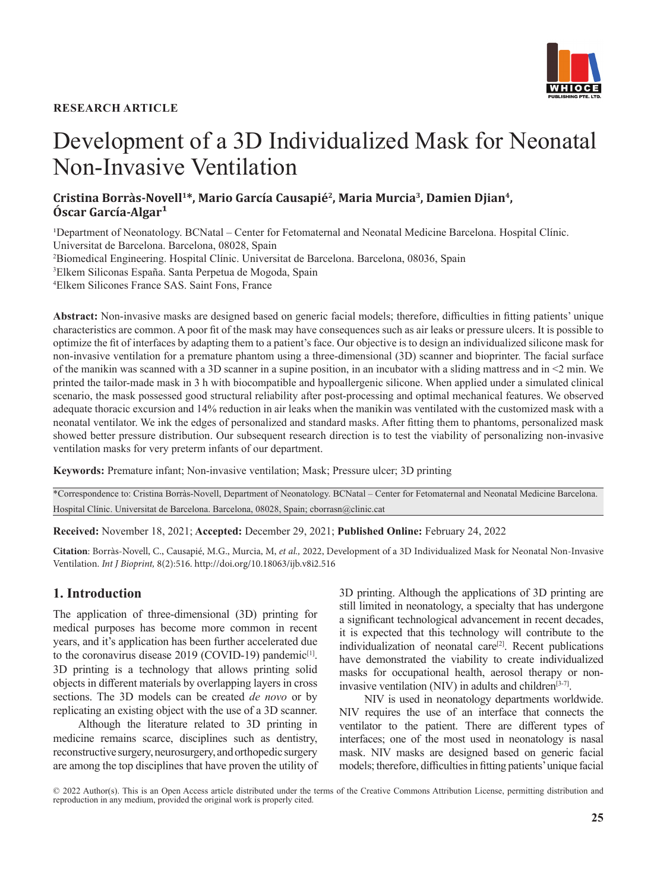#### **RESEARCH ARTICLE**



# Development of a 3D Individualized Mask for Neonatal Non-Invasive Ventilation

**Cristina Borràs-Novell1\*, Mario García Causapié2, Maria Murcia3, Damien Djian4,**  Óscar García-Algar<sup>1</sup>

<sup>1</sup>Department of Neonatology. BCNatal – Center for Fetomaternal and Neonatal Medicine Barcelona. Hospital Clínic. Universitat de Barcelona. Barcelona, 08028, Spain 2 Biomedical Engineering. Hospital Clínic. Universitat de Barcelona. Barcelona, 08036, Spain 3 Elkem Siliconas España. Santa Perpetua de Mogoda, Spain 4 Elkem Silicones France SAS. Saint Fons, France

**Abstract:** Non-invasive masks are designed based on generic facial models; therefore, difficulties in fitting patients' unique characteristics are common. A poor fit of the mask may have consequences such as air leaks or pressure ulcers. It is possible to optimize the fit of interfaces by adapting them to a patient's face. Our objective is to design an individualized silicone mask for non-invasive ventilation for a premature phantom using a three-dimensional (3D) scanner and bioprinter. The facial surface of the manikin was scanned with a 3D scanner in a supine position, in an incubator with a sliding mattress and in <2 min. We printed the tailor-made mask in 3 h with biocompatible and hypoallergenic silicone. When applied under a simulated clinical scenario, the mask possessed good structural reliability after post-processing and optimal mechanical features. We observed adequate thoracic excursion and 14% reduction in air leaks when the manikin was ventilated with the customized mask with a neonatal ventilator. We ink the edges of personalized and standard masks. After fitting them to phantoms, personalized mask showed better pressure distribution. Our subsequent research direction is to test the viability of personalizing non-invasive ventilation masks for very preterm infants of our department.

**Keywords:** Premature infant; Non-invasive ventilation; Mask; Pressure ulcer; 3D printing

\*Correspondence to: Cristina Borràs-Novell, Department of Neonatology. BCNatal – Center for Fetomaternal and Neonatal Medicine Barcelona. Hospital Clínic. Universitat de Barcelona. Barcelona, 08028, Spain; cborrasn@clinic.cat

**Received:** November 18, 2021; **Accepted:** December 29, 2021; **Published Online:** February 24, 2022

**Citation**: Borràs-Novell, C., Causapié, M.G., Murcia, M, *et al.,* 2022, Development of a 3D Individualized Mask for Neonatal Non-Invasive Ventilation. *Int J Bioprint,* 8(2):516. http://doi.org/10.18063/ijb.v8i2.516

#### **1. Introduction**

The application of three-dimensional (3D) printing for medical purposes has become more common in recent years, and it's application has been further accelerated due to the coronavirus disease  $2019$  (COVID-19) pandemic<sup>[1]</sup>. 3D printing is a technology that allows printing solid objects in different materials by overlapping layers in cross sections. The 3D models can be created *de novo* or by replicating an existing object with the use of a 3D scanner.

Although the literature related to 3D printing in medicine remains scarce, disciplines such as dentistry, reconstructive surgery, neurosurgery, and orthopedic surgery are among the top disciplines that have proven the utility of 3D printing. Although the applications of 3D printing are still limited in neonatology, a specialty that has undergone a significant technological advancement in recent decades, it is expected that this technology will contribute to the individualization of neonatal care<sup>[2]</sup>. Recent publications have demonstrated the viability to create individualized masks for occupational health, aerosol therapy or noninvasive ventilation (NIV) in adults and children<sup>[3-7]</sup>.

NIV is used in neonatology departments worldwide. NIV requires the use of an interface that connects the ventilator to the patient. There are different types of interfaces; one of the most used in neonatology is nasal mask. NIV masks are designed based on generic facial models; therefore, difficulties in fitting patients' unique facial

© 2022 Author(s). This is an Open Access article distributed under the terms of the [Creative Commons Attribution License](https://creativecommons.org/licenses/by/4.0/), permitting distribution and reproduction in any medium, provided the original work is properly cited.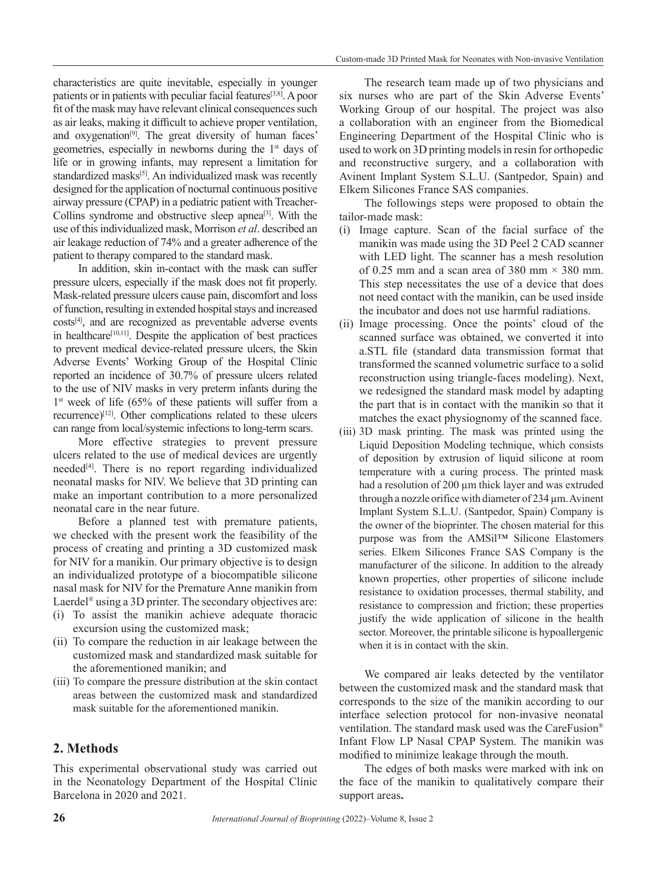characteristics are quite inevitable, especially in younger patients or in patients with peculiar facial features<sup>[3,8]</sup>. A poor fit of the mask may have relevant clinical consequences such as air leaks, making it difficult to achieve proper ventilation, and oxygenation<sup>[9]</sup>. The great diversity of human faces' geometries, especially in newborns during the 1st days of life or in growing infants, may represent a limitation for standardized masks<sup>[5]</sup>. An individualized mask was recently designed for the application of nocturnal continuous positive airway pressure (CPAP) in a pediatric patient with Treacher-Collins syndrome and obstructive sleep apnea<sup>[3]</sup>. With the use of this individualized mask, Morrison *et al*. described an air leakage reduction of 74% and a greater adherence of the patient to therapy compared to the standard mask.

In addition, skin in-contact with the mask can suffer pressure ulcers, especially if the mask does not fit properly. Mask-related pressure ulcers cause pain, discomfort and loss of function, resulting in extended hospital stays and increased costs[4], and are recognized as preventable adverse events in healthcare<sup>[10,11]</sup>. Despite the application of best practices to prevent medical device-related pressure ulcers, the Skin Adverse Events' Working Group of the Hospital Clínic reported an incidence of 30.7% of pressure ulcers related to the use of NIV masks in very preterm infants during the 1<sup>st</sup> week of life (65% of these patients will suffer from a recurrence)<sup>[12]</sup>. Other complications related to these ulcers can range from local/systemic infections to long-term scars.

More effective strategies to prevent pressure ulcers related to the use of medical devices are urgently needed<sup>[4]</sup>. There is no report regarding individualized neonatal masks for NIV. We believe that 3D printing can make an important contribution to a more personalized neonatal care in the near future.

Before a planned test with premature patients, we checked with the present work the feasibility of the process of creating and printing a 3D customized mask for NIV for a manikin. Our primary objective is to design an individualized prototype of a biocompatible silicone nasal mask for NIV for the Premature Anne manikin from Laerdel® using a 3D printer. The secondary objectives are:

- (i) To assist the manikin achieve adequate thoracic excursion using the customized mask;
- (ii) To compare the reduction in air leakage between the customized mask and standardized mask suitable for the aforementioned manikin; and
- (iii) To compare the pressure distribution at the skin contact areas between the customized mask and standardized mask suitable for the aforementioned manikin.

# **2. Methods**

This experimental observational study was carried out in the Neonatology Department of the Hospital Clínic Barcelona in 2020 and 2021.

The research team made up of two physicians and six nurses who are part of the Skin Adverse Events' Working Group of our hospital. The project was also a collaboration with an engineer from the Biomedical Engineering Department of the Hospital Clínic who is used to work on 3D printing models in resin for orthopedic and reconstructive surgery, and a collaboration with Avinent Implant System S.L.U. (Santpedor, Spain) and Elkem Silicones France SAS companies.

The followings steps were proposed to obtain the tailor-made mask:

- (i) Image capture. Scan of the facial surface of the manikin was made using the 3D Peel 2 CAD scanner with LED light. The scanner has a mesh resolution of 0.25 mm and a scan area of 380 mm  $\times$  380 mm. This step necessitates the use of a device that does not need contact with the manikin, can be used inside the incubator and does not use harmful radiations.
- (ii) Image processing. Once the points' cloud of the scanned surface was obtained, we converted it into a.STL file (standard data transmission format that transformed the scanned volumetric surface to a solid reconstruction using triangle-faces modeling). Next, we redesigned the standard mask model by adapting the part that is in contact with the manikin so that it matches the exact physiognomy of the scanned face.
- (iii) 3D mask printing. The mask was printed using the Liquid Deposition Modeling technique, which consists of deposition by extrusion of liquid silicone at room temperature with a curing process. The printed mask had a resolution of 200 µm thick layer and was extruded through a nozzle orifice with diameter of  $234 \mu$ m. Avinent Implant System S.L.U. (Santpedor, Spain) Company is the owner of the bioprinter. The chosen material for this purpose was from the AMSil™ Silicone Elastomers series. Elkem Silicones France SAS Company is the manufacturer of the silicone. In addition to the already known properties, other properties of silicone include resistance to oxidation processes, thermal stability, and resistance to compression and friction; these properties justify the wide application of silicone in the health sector. Moreover, the printable silicone is hypoallergenic when it is in contact with the skin.

We compared air leaks detected by the ventilator between the customized mask and the standard mask that corresponds to the size of the manikin according to our interface selection protocol for non-invasive neonatal ventilation. The standard mask used was the CareFusion® Infant Flow LP Nasal CPAP System. The manikin was modified to minimize leakage through the mouth.

The edges of both masks were marked with ink on the face of the manikin to qualitatively compare their support areas**.**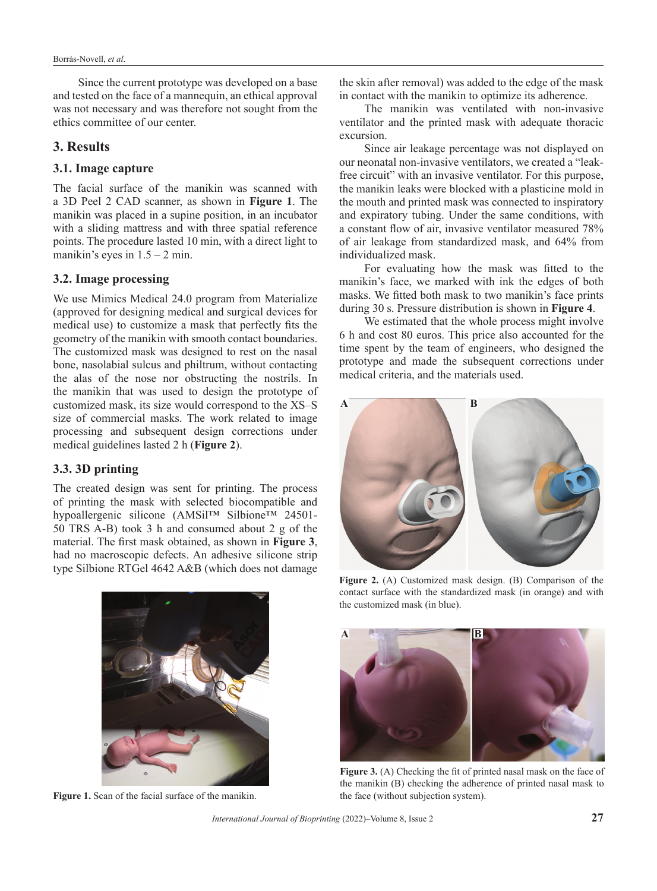Since the current prototype was developed on a base and tested on the face of a mannequin, an ethical approval was not necessary and was therefore not sought from the ethics committee of our center.

# **3. Results**

#### **3.1. Image capture**

The facial surface of the manikin was scanned with a 3D Peel 2 CAD scanner, as shown in **Figure 1**. The manikin was placed in a supine position, in an incubator with a sliding mattress and with three spatial reference points. The procedure lasted 10 min, with a direct light to manikin's eyes in  $1.5 - 2$  min.

#### **3.2. Image processing**

We use Mimics Medical 24.0 program from Materialize (approved for designing medical and surgical devices for medical use) to customize a mask that perfectly fits the geometry of the manikin with smooth contact boundaries. The customized mask was designed to rest on the nasal bone, nasolabial sulcus and philtrum, without contacting the alas of the nose nor obstructing the nostrils. In the manikin that was used to design the prototype of customized mask, its size would correspond to the XS–S size of commercial masks. The work related to image processing and subsequent design corrections under medical guidelines lasted 2 h (**Figure 2**).

# **3.3. 3D printing**

The created design was sent for printing. The process of printing the mask with selected biocompatible and hypoallergenic silicone (AMSil™ Silbione™ 24501- 50 TRS A-B) took 3 h and consumed about 2 g of the material. The first mask obtained, as shown in **Figure 3**, had no macroscopic defects. An adhesive silicone strip type Silbione RTGel 4642 A&B (which does not damage

the skin after removal) was added to the edge of the mask in contact with the manikin to optimize its adherence.

The manikin was ventilated with non-invasive ventilator and the printed mask with adequate thoracic excursion.

Since air leakage percentage was not displayed on our neonatal non-invasive ventilators, we created a "leakfree circuit" with an invasive ventilator. For this purpose, the manikin leaks were blocked with a plasticine mold in the mouth and printed mask was connected to inspiratory and expiratory tubing. Under the same conditions, with a constant flow of air, invasive ventilator measured 78% of air leakage from standardized mask, and 64% from individualized mask.

For evaluating how the mask was fitted to the manikin's face, we marked with ink the edges of both masks. We fitted both mask to two manikin's face prints during 30 s. Pressure distribution is shown in **Figure 4**.

We estimated that the whole process might involve 6 h and cost 80 euros. This price also accounted for the time spent by the team of engineers, who designed the prototype and made the subsequent corrections under medical criteria, and the materials used.





**Figure 1.** Scan of the facial surface of the manikin.

**Figure 2.** (A) Customized mask design. (B) Comparison of the contact surface with the standardized mask (in orange) and with the customized mask (in blue).



**Figure 3.** (A) Checking the fit of printed nasal mask on the face of the manikin (B) checking the adherence of printed nasal mask to the face (without subjection system).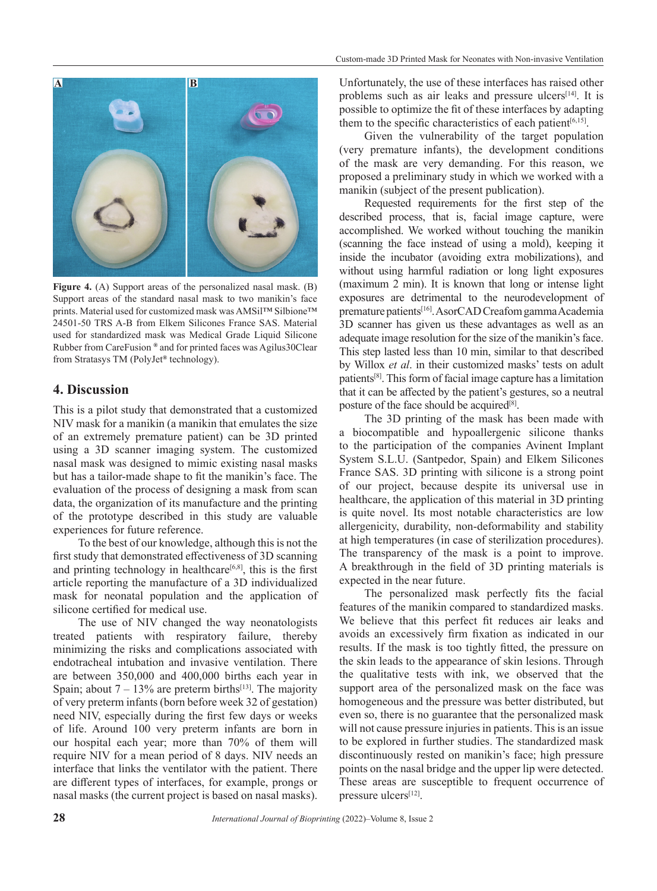

**Figure 4.** (A) Support areas of the personalized nasal mask. (B) Support areas of the standard nasal mask to two manikin's face prints. Material used for customized mask was AMSil™ Silbione™ 24501-50 TRS A-B from Elkem Silicones France SAS. Material used for standardized mask was Medical Grade Liquid Silicone Rubber from CareFusion *®* and for printed faces was Agilus30Clear from Stratasys TM (PolyJet*®* technology).

#### **4. Discussion**

This is a pilot study that demonstrated that a customized NIV mask for a manikin (a manikin that emulates the size of an extremely premature patient) can be 3D printed using a 3D scanner imaging system. The customized nasal mask was designed to mimic existing nasal masks but has a tailor-made shape to fit the manikin's face. The evaluation of the process of designing a mask from scan data, the organization of its manufacture and the printing of the prototype described in this study are valuable experiences for future reference.

To the best of our knowledge, although this is not the first study that demonstrated effectiveness of 3D scanning and printing technology in healthcare $[6,8]$ , this is the first article reporting the manufacture of a 3D individualized mask for neonatal population and the application of silicone certified for medical use.

The use of NIV changed the way neonatologists treated patients with respiratory failure, thereby minimizing the risks and complications associated with endotracheal intubation and invasive ventilation. There are between 350,000 and 400,000 births each year in Spain; about  $7 - 13\%$  are preterm births<sup>[13]</sup>. The majority of very preterm infants (born before week 32 of gestation) need NIV, especially during the first few days or weeks of life. Around 100 very preterm infants are born in our hospital each year; more than 70% of them will require NIV for a mean period of 8 days. NIV needs an interface that links the ventilator with the patient. There are different types of interfaces, for example, prongs or nasal masks (the current project is based on nasal masks). Unfortunately, the use of these interfaces has raised other problems such as air leaks and pressure ulcers<sup>[14]</sup>. It is possible to optimize the fit of these interfaces by adapting them to the specific characteristics of each patient<sup>[6,15]</sup>.

Given the vulnerability of the target population (very premature infants), the development conditions of the mask are very demanding. For this reason, we proposed a preliminary study in which we worked with a manikin (subject of the present publication).

Requested requirements for the first step of the described process, that is, facial image capture, were accomplished. We worked without touching the manikin (scanning the face instead of using a mold), keeping it inside the incubator (avoiding extra mobilizations), and without using harmful radiation or long light exposures (maximum 2 min). It is known that long or intense light exposures are detrimental to the neurodevelopment of premature patients[16]. AsorCAD Creafom gamma Academia 3D scanner has given us these advantages as well as an adequate image resolution for the size of the manikin's face. This step lasted less than 10 min, similar to that described by Willox *et al*. in their customized masks' tests on adult patients[8]. This form of facial image capture has a limitation that it can be affected by the patient's gestures, so a neutral posture of the face should be acquired<sup>[8]</sup>.

The 3D printing of the mask has been made with a biocompatible and hypoallergenic silicone thanks to the participation of the companies Avinent Implant System S.L.U. (Santpedor, Spain) and Elkem Silicones France SAS. 3D printing with silicone is a strong point of our project, because despite its universal use in healthcare, the application of this material in 3D printing is quite novel. Its most notable characteristics are low allergenicity, durability, non-deformability and stability at high temperatures (in case of sterilization procedures). The transparency of the mask is a point to improve. A breakthrough in the field of 3D printing materials is expected in the near future.

The personalized mask perfectly fits the facial features of the manikin compared to standardized masks. We believe that this perfect fit reduces air leaks and avoids an excessively firm fixation as indicated in our results. If the mask is too tightly fitted, the pressure on the skin leads to the appearance of skin lesions. Through the qualitative tests with ink, we observed that the support area of the personalized mask on the face was homogeneous and the pressure was better distributed, but even so, there is no guarantee that the personalized mask will not cause pressure injuries in patients. This is an issue to be explored in further studies. The standardized mask discontinuously rested on manikin's face; high pressure points on the nasal bridge and the upper lip were detected. These areas are susceptible to frequent occurrence of pressure ulcers<sup>[12]</sup>.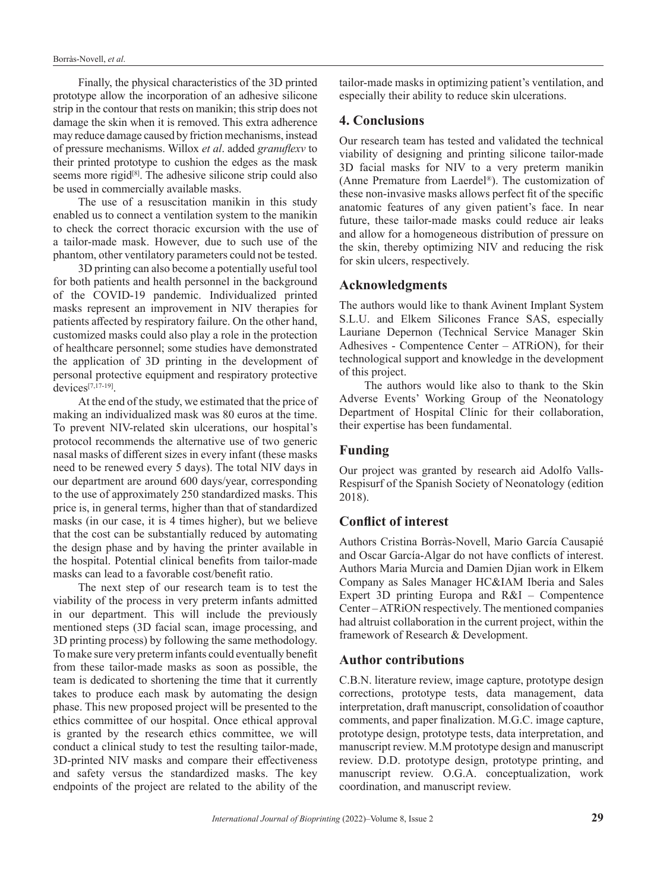Finally, the physical characteristics of the 3D printed prototype allow the incorporation of an adhesive silicone strip in the contour that rests on manikin; this strip does not damage the skin when it is removed. This extra adherence may reduce damage caused by friction mechanisms, instead of pressure mechanisms. Willox *et al*. added *granuflexv* to their printed prototype to cushion the edges as the mask seems more rigid<sup>[8]</sup>. The adhesive silicone strip could also be used in commercially available masks.

The use of a resuscitation manikin in this study enabled us to connect a ventilation system to the manikin to check the correct thoracic excursion with the use of a tailor-made mask. However, due to such use of the phantom, other ventilatory parameters could not be tested.

3D printing can also become a potentially useful tool for both patients and health personnel in the background of the COVID-19 pandemic. Individualized printed masks represent an improvement in NIV therapies for patients affected by respiratory failure. On the other hand, customized masks could also play a role in the protection of healthcare personnel; some studies have demonstrated the application of 3D printing in the development of personal protective equipment and respiratory protective devices $[7,17-19]$ .

At the end of the study, we estimated that the price of making an individualized mask was 80 euros at the time. To prevent NIV-related skin ulcerations, our hospital's protocol recommends the alternative use of two generic nasal masks of different sizes in every infant (these masks need to be renewed every 5 days). The total NIV days in our department are around 600 days/year, corresponding to the use of approximately 250 standardized masks. This price is, in general terms, higher than that of standardized masks (in our case, it is 4 times higher), but we believe that the cost can be substantially reduced by automating the design phase and by having the printer available in the hospital. Potential clinical benefits from tailor-made masks can lead to a favorable cost/benefit ratio.

The next step of our research team is to test the viability of the process in very preterm infants admitted in our department. This will include the previously mentioned steps (3D facial scan, image processing, and 3D printing process) by following the same methodology. To make sure very preterm infants could eventually benefit from these tailor-made masks as soon as possible, the team is dedicated to shortening the time that it currently takes to produce each mask by automating the design phase. This new proposed project will be presented to the ethics committee of our hospital. Once ethical approval is granted by the research ethics committee, we will conduct a clinical study to test the resulting tailor-made, 3D-printed NIV masks and compare their effectiveness and safety versus the standardized masks. The key endpoints of the project are related to the ability of the

tailor-made masks in optimizing patient's ventilation, and especially their ability to reduce skin ulcerations.

# **4. Conclusions**

Our research team has tested and validated the technical viability of designing and printing silicone tailor-made 3D facial masks for NIV to a very preterm manikin (Anne Premature from Laerdel®). The customization of these non-invasive masks allows perfect fit of the specific anatomic features of any given patient's face. In near future, these tailor-made masks could reduce air leaks and allow for a homogeneous distribution of pressure on the skin, thereby optimizing NIV and reducing the risk for skin ulcers, respectively.

# **Acknowledgments**

The authors would like to thank Avinent Implant System S.L.U. and Elkem Silicones France SAS, especially Lauriane Depernon (Technical Service Manager Skin Adhesives - Compentence Center – ATRiON), for their technological support and knowledge in the development of this project.

The authors would like also to thank to the Skin Adverse Events' Working Group of the Neonatology Department of Hospital Clínic for their collaboration, their expertise has been fundamental.

# **Funding**

Our project was granted by research aid Adolfo Valls-Respisurf of the Spanish Society of Neonatology (edition 2018).

# **Conflict of interest**

Authors Cristina Borràs-Novell, Mario García Causapié and Oscar García-Algar do not have conflicts of interest. Authors Maria Murcia and Damien Djian work in Elkem Company as Sales Manager HC&IAM Iberia and Sales Expert 3D printing Europa and R&I – Compentence Center – ATRiON respectively. The mentioned companies had altruist collaboration in the current project, within the framework of Research & Development.

# **Author contributions**

C.B.N. literature review, image capture, prototype design corrections, prototype tests, data management, data interpretation, draft manuscript, consolidation of coauthor comments, and paper finalization. M.G.C. image capture, prototype design, prototype tests, data interpretation, and manuscript review. M.M prototype design and manuscript review. D.D. prototype design, prototype printing, and manuscript review. O.G.A. conceptualization, work coordination, and manuscript review.